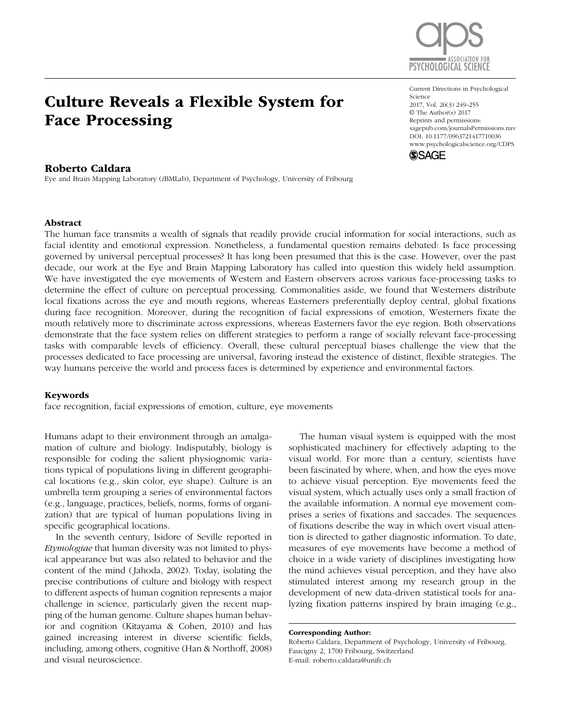# Culture Reveals a Flexible System for Face Processing

# Roberto Caldara

Eye and Brain Mapping Laboratory (*i*BMLab), Department of Psychology, University of Fribourg

https://doi.org/10.1177/0963721417710036 DOI: 10.1177/0963721417710036 Current Directions in Psychological Science 2017, Vol. 26(3) 249–255 © The Author(s) 2017 Reprints and permissions: [sagepub.com/journalsPermissions.nav](http://sagepub.com/journalsPermissions.nav) [www.psychologicalscience.org/CDPS](http://www.psychologicalscience.org/cdps)



#### Abstract

The human face transmits a wealth of signals that readily provide crucial information for social interactions, such as facial identity and emotional expression. Nonetheless, a fundamental question remains debated: Is face processing governed by universal perceptual processes? It has long been presumed that this is the case. However, over the past decade, our work at the Eye and Brain Mapping Laboratory has called into question this widely held assumption. We have investigated the eye movements of Western and Eastern observers across various face-processing tasks to determine the effect of culture on perceptual processing. Commonalities aside, we found that Westerners distribute local fixations across the eye and mouth regions, whereas Easterners preferentially deploy central, global fixations during face recognition. Moreover, during the recognition of facial expressions of emotion, Westerners fixate the mouth relatively more to discriminate across expressions, whereas Easterners favor the eye region. Both observations demonstrate that the face system relies on different strategies to perform a range of socially relevant face-processing tasks with comparable levels of efficiency. Overall, these cultural perceptual biases challenge the view that the processes dedicated to face processing are universal, favoring instead the existence of distinct, flexible strategies. The way humans perceive the world and process faces is determined by experience and environmental factors.

#### Keywords

face recognition, facial expressions of emotion, culture, eye movements

Humans adapt to their environment through an amalgamation of culture and biology. Indisputably, biology is responsible for coding the salient physiognomic variations typical of populations living in different geographical locations (e.g., skin color, eye shape). Culture is an umbrella term grouping a series of environmental factors (e.g., language, practices, beliefs, norms, forms of organization) that are typical of human populations living in specific geographical locations.

In the seventh century, Isidore of Seville reported in *Etymologiae* that human diversity was not limited to physical appearance but was also related to behavior and the content of the mind (Jahoda, 2002). Today, isolating the precise contributions of culture and biology with respect to different aspects of human cognition represents a major challenge in science, particularly given the recent mapping of the human genome. Culture shapes human behavior and cognition (Kitayama & Cohen, 2010) and has gained increasing interest in diverse scientific fields, including, among others, cognitive (Han & Northoff, 2008) and visual neuroscience.

The human visual system is equipped with the most sophisticated machinery for effectively adapting to the visual world. For more than a century, scientists have been fascinated by where, when, and how the eyes move to achieve visual perception. Eye movements feed the visual system, which actually uses only a small fraction of the available information. A normal eye movement comprises a series of fixations and saccades. The sequences of fixations describe the way in which overt visual attention is directed to gather diagnostic information. To date, measures of eye movements have become a method of choice in a wide variety of disciplines investigating how the mind achieves visual perception, and they have also stimulated interest among my research group in the development of new data-driven statistical tools for analyzing fixation patterns inspired by brain imaging (e.g.,

Roberto Caldara, Department of Psychology, University of Fribourg, Faucigny 2, 1700 Fribourg, Switzerland E-mail: roberto.caldara@unifr.ch

Corresponding Author: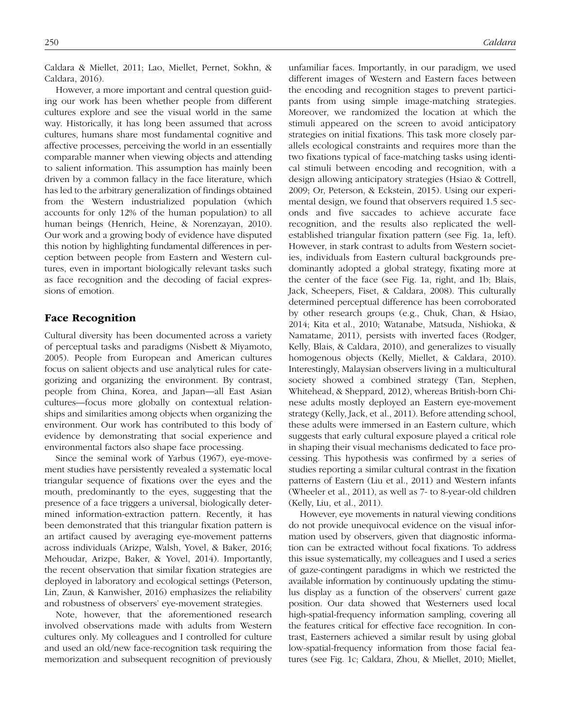Caldara & Miellet, 2011; Lao, Miellet, Pernet, Sokhn, & Caldara, 2016).

However, a more important and central question guiding our work has been whether people from different cultures explore and see the visual world in the same way. Historically, it has long been assumed that across cultures, humans share most fundamental cognitive and affective processes, perceiving the world in an essentially comparable manner when viewing objects and attending to salient information. This assumption has mainly been driven by a common fallacy in the face literature, which has led to the arbitrary generalization of findings obtained from the Western industrialized population (which accounts for only 12% of the human population) to all human beings (Henrich, Heine, & Norenzayan, 2010). Our work and a growing body of evidence have disputed this notion by highlighting fundamental differences in perception between people from Eastern and Western cultures, even in important biologically relevant tasks such as face recognition and the decoding of facial expressions of emotion.

# Face Recognition

Cultural diversity has been documented across a variety of perceptual tasks and paradigms (Nisbett & Miyamoto, 2005). People from European and American cultures focus on salient objects and use analytical rules for categorizing and organizing the environment. By contrast, people from China, Korea, and Japan—all East Asian cultures—focus more globally on contextual relationships and similarities among objects when organizing the environment. Our work has contributed to this body of evidence by demonstrating that social experience and environmental factors also shape face processing.

Since the seminal work of Yarbus (1967), eye-movement studies have persistently revealed a systematic local triangular sequence of fixations over the eyes and the mouth, predominantly to the eyes, suggesting that the presence of a face triggers a universal, biologically determined information-extraction pattern. Recently, it has been demonstrated that this triangular fixation pattern is an artifact caused by averaging eye-movement patterns across individuals (Arizpe, Walsh, Yovel, & Baker, 2016; Mehoudar, Arizpe, Baker, & Yovel, 2014). Importantly, the recent observation that similar fixation strategies are deployed in laboratory and ecological settings (Peterson, Lin, Zaun, & Kanwisher, 2016) emphasizes the reliability and robustness of observers' eye-movement strategies.

Note, however, that the aforementioned research involved observations made with adults from Western cultures only. My colleagues and I controlled for culture and used an old/new face-recognition task requiring the memorization and subsequent recognition of previously unfamiliar faces. Importantly, in our paradigm, we used different images of Western and Eastern faces between the encoding and recognition stages to prevent participants from using simple image-matching strategies. Moreover, we randomized the location at which the stimuli appeared on the screen to avoid anticipatory strategies on initial fixations. This task more closely parallels ecological constraints and requires more than the two fixations typical of face-matching tasks using identical stimuli between encoding and recognition, with a design allowing anticipatory strategies (Hsiao & Cottrell, 2009; Or, Peterson, & Eckstein, 2015). Using our experimental design, we found that observers required 1.5 seconds and five saccades to achieve accurate face recognition, and the results also replicated the wellestablished triangular fixation pattern (see Fig. 1a, left). However, in stark contrast to adults from Western societies, individuals from Eastern cultural backgrounds predominantly adopted a global strategy, fixating more at the center of the face (see Fig. 1a, right, and 1b; Blais, Jack, Scheepers, Fiset, & Caldara, 2008). This culturally determined perceptual difference has been corroborated by other research groups (e.g., Chuk, Chan, & Hsiao, 2014; Kita et al., 2010; Watanabe, Matsuda, Nishioka, & Namatame, 2011), persists with inverted faces (Rodger, Kelly, Blais, & Caldara, 2010), and generalizes to visually homogenous objects (Kelly, Miellet, & Caldara, 2010). Interestingly, Malaysian observers living in a multicultural society showed a combined strategy (Tan, Stephen, Whitehead, & Sheppard, 2012), whereas British-born Chinese adults mostly deployed an Eastern eye-movement strategy (Kelly, Jack, et al., 2011). Before attending school, these adults were immersed in an Eastern culture, which suggests that early cultural exposure played a critical role in shaping their visual mechanisms dedicated to face processing. This hypothesis was confirmed by a series of studies reporting a similar cultural contrast in the fixation patterns of Eastern (Liu et al., 2011) and Western infants (Wheeler et al., 2011), as well as 7- to 8-year-old children (Kelly, Liu, et al., 2011).

However, eye movements in natural viewing conditions do not provide unequivocal evidence on the visual information used by observers, given that diagnostic information can be extracted without focal fixations. To address this issue systematically, my colleagues and I used a series of gaze-contingent paradigms in which we restricted the available information by continuously updating the stimulus display as a function of the observers' current gaze position. Our data showed that Westerners used local high-spatial-frequency information sampling, covering all the features critical for effective face recognition. In contrast, Easterners achieved a similar result by using global low-spatial-frequency information from those facial features (see Fig. 1c; Caldara, Zhou, & Miellet, 2010; Miellet,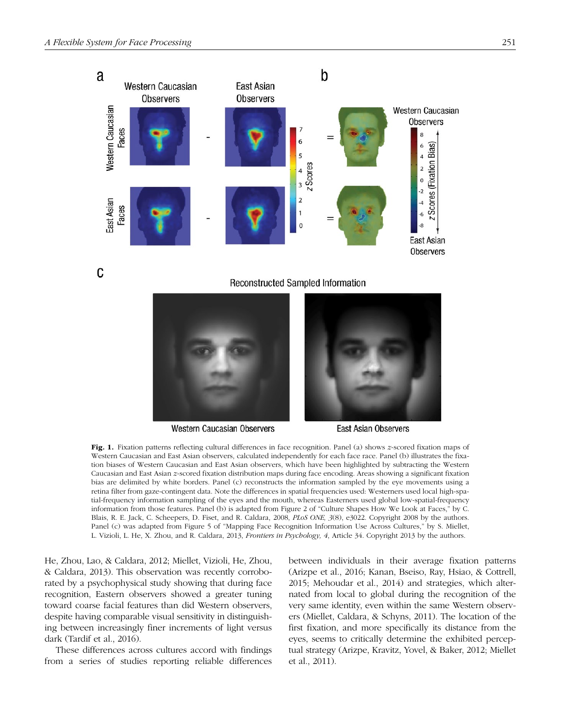

Reconstructed Sampled Information



Western Caucasian Observers

East Asian Observers

Fig. 1. Fixation patterns reflecting cultural differences in face recognition. Panel (a) shows *z*-scored fixation maps of Western Caucasian and East Asian observers, calculated independently for each face race. Panel (b) illustrates the fixation biases of Western Caucasian and East Asian observers, which have been highlighted by subtracting the Western Caucasian and East Asian *z*-scored fixation distribution maps during face encoding. Areas showing a significant fixation bias are delimited by white borders. Panel (c) reconstructs the information sampled by the eye movements using a retina filter from gaze-contingent data. Note the differences in spatial frequencies used: Westerners used local high-spatial-frequency information sampling of the eyes and the mouth, whereas Easterners used global low-spatial-frequency information from those features. Panel (b) is adapted from Figure 2 of "Culture Shapes How We Look at Faces," by C. Blais, R. E. Jack, C. Scheepers, D. Fiset, and R. Caldara, 2008, *PLoS ONE, 3*(8), e3022. Copyright 2008 by the authors. Panel (c) was adapted from Figure 5 of "Mapping Face Recognition Information Use Across Cultures," by S. Miellet, L. Vizioli, L. He, X. Zhou, and R. Caldara, 2013, *Frontiers in Psychology, 4*, Article 34. Copyright 2013 by the authors.

He, Zhou, Lao, & Caldara, 2012; Miellet, Vizioli, He, Zhou, & Caldara, 2013). This observation was recently corroborated by a psychophysical study showing that during face recognition, Eastern observers showed a greater tuning toward coarse facial features than did Western observers, despite having comparable visual sensitivity in distinguishing between increasingly finer increments of light versus dark (Tardif et al., 2016).

These differences across cultures accord with findings from a series of studies reporting reliable differences between individuals in their average fixation patterns (Arizpe et al., 2016; Kanan, Bseiso, Ray, Hsiao, & Cottrell, 2015; Mehoudar et al., 2014) and strategies, which alternated from local to global during the recognition of the very same identity, even within the same Western observers (Miellet, Caldara, & Schyns, 2011). The location of the first fixation, and more specifically its distance from the eyes, seems to critically determine the exhibited perceptual strategy (Arizpe, Kravitz, Yovel, & Baker, 2012; Miellet et al., 2011).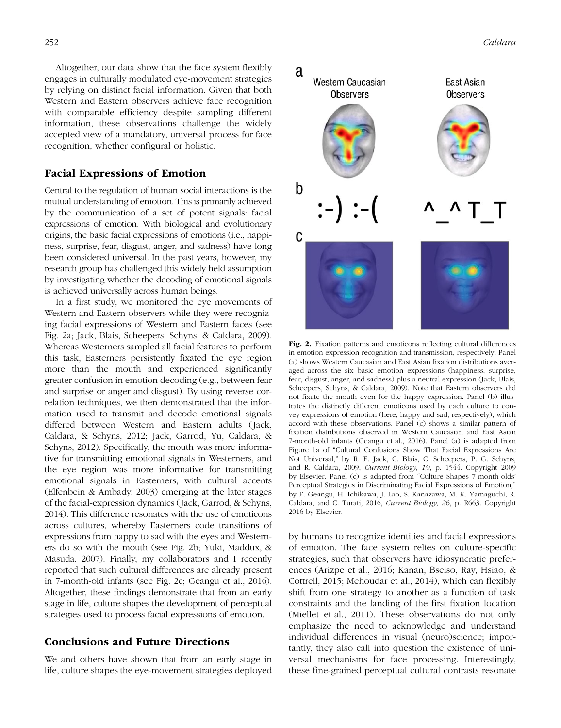Altogether, our data show that the face system flexibly engages in culturally modulated eye-movement strategies by relying on distinct facial information. Given that both Western and Eastern observers achieve face recognition with comparable efficiency despite sampling different information, these observations challenge the widely accepted view of a mandatory, universal process for face recognition, whether configural or holistic.

# Facial Expressions of Emotion

Central to the regulation of human social interactions is the mutual understanding of emotion. This is primarily achieved by the communication of a set of potent signals: facial expressions of emotion. With biological and evolutionary origins, the basic facial expressions of emotions (i.e., happiness, surprise, fear, disgust, anger, and sadness) have long been considered universal. In the past years, however, my research group has challenged this widely held assumption by investigating whether the decoding of emotional signals is achieved universally across human beings.

In a first study, we monitored the eye movements of Western and Eastern observers while they were recognizing facial expressions of Western and Eastern faces (see Fig. 2a; Jack, Blais, Scheepers, Schyns, & Caldara, 2009). Whereas Westerners sampled all facial features to perform this task, Easterners persistently fixated the eye region more than the mouth and experienced significantly greater confusion in emotion decoding (e.g., between fear and surprise or anger and disgust). By using reverse correlation techniques, we then demonstrated that the information used to transmit and decode emotional signals differed between Western and Eastern adults (Jack, Caldara, & Schyns, 2012; Jack, Garrod, Yu, Caldara, & Schyns, 2012). Specifically, the mouth was more informative for transmitting emotional signals in Westerners, and the eye region was more informative for transmitting emotional signals in Easterners, with cultural accents (Elfenbein & Ambady, 2003) emerging at the later stages of the facial-expression dynamics (Jack, Garrod, & Schyns, 2014). This difference resonates with the use of emoticons across cultures, whereby Easterners code transitions of expressions from happy to sad with the eyes and Westerners do so with the mouth (see Fig. 2b; Yuki, Maddux, & Masuda, 2007). Finally, my collaborators and I recently reported that such cultural differences are already present in 7-month-old infants (see Fig. 2c; Geangu et al., 2016). Altogether, these findings demonstrate that from an early stage in life, culture shapes the development of perceptual strategies used to process facial expressions of emotion.

# Conclusions and Future Directions

We and others have shown that from an early stage in life, culture shapes the eye-movement strategies deployed



Fig. 2. Fixation patterns and emoticons reflecting cultural differences in emotion-expression recognition and transmission, respectively. Panel (a) shows Western Caucasian and East Asian fixation distributions averaged across the six basic emotion expressions (happiness, surprise, fear, disgust, anger, and sadness) plus a neutral expression (Jack, Blais, Scheepers, Schyns, & Caldara, 2009). Note that Eastern observers did not fixate the mouth even for the happy expression. Panel (b) illustrates the distinctly different emoticons used by each culture to convey expressions of emotion (here, happy and sad, respectively), which accord with these observations. Panel (c) shows a similar pattern of fixation distributions observed in Western Caucasian and East Asian 7-month-old infants (Geangu et al., 2016). Panel (a) is adapted from Figure 1a of "Cultural Confusions Show That Facial Expressions Are Not Universal," by R. E. Jack, C. Blais, C. Scheepers, P. G. Schyns, and R. Caldara, 2009, *Current Biology, 19*, p. 1544. Copyright 2009 by Elsevier. Panel (c) is adapted from "Culture Shapes 7-month-olds' Perceptual Strategies in Discriminating Facial Expressions of Emotion," by E. Geangu, H. Ichikawa, J. Lao, S. Kanazawa, M. K. Yamaguchi, R. Caldara, and C. Turati, 2016, *Current Biology, 26*, p. R663. Copyright 2016 by Elsevier.

by humans to recognize identities and facial expressions of emotion. The face system relies on culture-specific strategies, such that observers have idiosyncratic preferences (Arizpe et al., 2016; Kanan, Bseiso, Ray, Hsiao, & Cottrell, 2015; Mehoudar et al., 2014), which can flexibly shift from one strategy to another as a function of task constraints and the landing of the first fixation location (Miellet et al., 2011). These observations do not only emphasize the need to acknowledge and understand individual differences in visual (neuro)science; importantly, they also call into question the existence of universal mechanisms for face processing. Interestingly, these fine-grained perceptual cultural contrasts resonate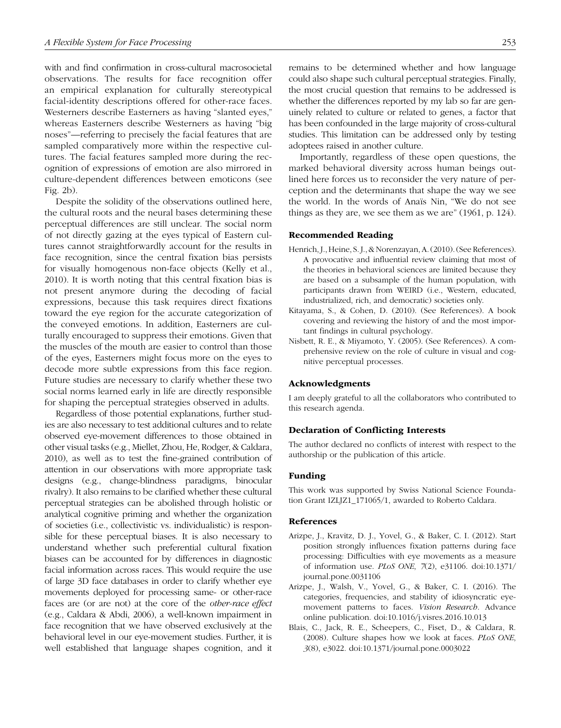with and find confirmation in cross-cultural macrosocietal observations. The results for face recognition offer an empirical explanation for culturally stereotypical facial-identity descriptions offered for other-race faces. Westerners describe Easterners as having "slanted eyes," whereas Easterners describe Westerners as having "big noses"—referring to precisely the facial features that are sampled comparatively more within the respective cultures. The facial features sampled more during the recognition of expressions of emotion are also mirrored in culture-dependent differences between emoticons (see Fig. 2b).

Despite the solidity of the observations outlined here, the cultural roots and the neural bases determining these perceptual differences are still unclear. The social norm of not directly gazing at the eyes typical of Eastern cultures cannot straightforwardly account for the results in face recognition, since the central fixation bias persists for visually homogenous non-face objects (Kelly et al., 2010). It is worth noting that this central fixation bias is not present anymore during the decoding of facial expressions, because this task requires direct fixations toward the eye region for the accurate categorization of the conveyed emotions. In addition, Easterners are culturally encouraged to suppress their emotions. Given that the muscles of the mouth are easier to control than those of the eyes, Easterners might focus more on the eyes to decode more subtle expressions from this face region. Future studies are necessary to clarify whether these two social norms learned early in life are directly responsible for shaping the perceptual strategies observed in adults.

Regardless of those potential explanations, further studies are also necessary to test additional cultures and to relate observed eye-movement differences to those obtained in other visual tasks (e.g., Miellet, Zhou, He, Rodger, & Caldara, 2010), as well as to test the fine-grained contribution of attention in our observations with more appropriate task designs (e.g., change-blindness paradigms, binocular rivalry). It also remains to be clarified whether these cultural perceptual strategies can be abolished through holistic or analytical cognitive priming and whether the organization of societies (i.e., collectivistic vs. individualistic) is responsible for these perceptual biases. It is also necessary to understand whether such preferential cultural fixation biases can be accounted for by differences in diagnostic facial information across races. This would require the use of large 3D face databases in order to clarify whether eye movements deployed for processing same- or other-race faces are (or are not) at the core of the *other-race effect* (e.g., Caldara & Abdi, 2006), a well-known impairment in face recognition that we have observed exclusively at the behavioral level in our eye-movement studies. Further, it is well established that language shapes cognition, and it

remains to be determined whether and how language could also shape such cultural perceptual strategies. Finally, the most crucial question that remains to be addressed is whether the differences reported by my lab so far are genuinely related to culture or related to genes, a factor that has been confounded in the large majority of cross-cultural studies. This limitation can be addressed only by testing adoptees raised in another culture.

Importantly, regardless of these open questions, the marked behavioral diversity across human beings outlined here forces us to reconsider the very nature of perception and the determinants that shape the way we see the world. In the words of Anaïs Nin, "We do not see things as they are, we see them as we are" (1961, p. 124).

#### Recommended Reading

- Henrich, J., Heine, S. J., & Norenzayan, A. (2010). (See References). A provocative and influential review claiming that most of the theories in behavioral sciences are limited because they are based on a subsample of the human population, with participants drawn from WEIRD (i.e., Western, educated, industrialized, rich, and democratic) societies only.
- Kitayama, S., & Cohen, D. (2010). (See References). A book covering and reviewing the history of and the most important findings in cultural psychology.
- Nisbett, R. E., & Miyamoto, Y. (2005). (See References). A comprehensive review on the role of culture in visual and cognitive perceptual processes.

## Acknowledgments

I am deeply grateful to all the collaborators who contributed to this research agenda.

#### Declaration of Conflicting Interests

The author declared no conflicts of interest with respect to the authorship or the publication of this article.

#### Funding

This work was supported by Swiss National Science Foundation Grant IZLJZ1\_171065/1, awarded to Roberto Caldara.

### References

- Arizpe, J., Kravitz, D. J., Yovel, G., & Baker, C. I. (2012). Start position strongly influences fixation patterns during face processing: Difficulties with eye movements as a measure of information use. *PLoS ONE*, *7*(2), e31106. doi:10.1371/ journal.pone.0031106
- Arizpe, J., Walsh, V., Yovel, G., & Baker, C. I. (2016). The categories, frequencies, and stability of idiosyncratic eyemovement patterns to faces. *Vision Research*. Advance online publication. doi:10.1016/j.visres.2016.10.013
- Blais, C., Jack, R. E., Scheepers, C., Fiset, D., & Caldara, R. (2008). Culture shapes how we look at faces. *PLoS ONE*, *3*(8), e3022. doi:10.1371/journal.pone.0003022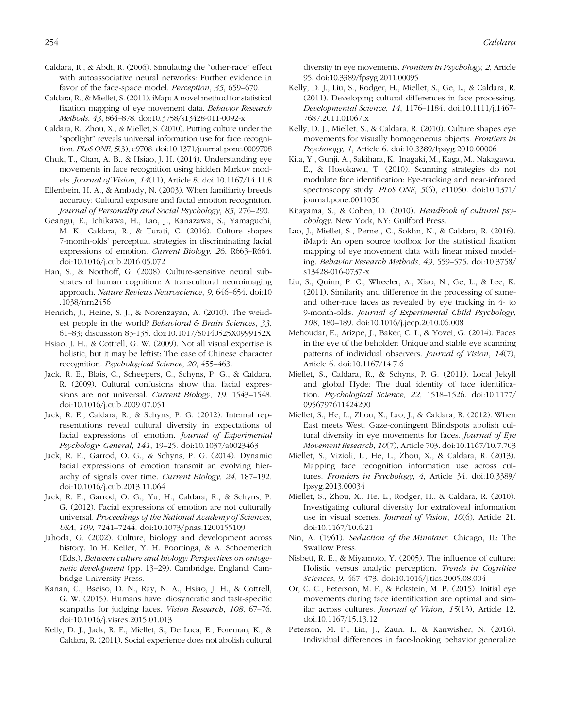- Caldara, R., & Abdi, R. (2006). Simulating the "other-race" effect with autoassociative neural networks: Further evidence in favor of the face-space model. *Perception*, *35*, 659–670.
- Caldara, R., & Miellet, S. (2011). iMap: A novel method for statistical fixation mapping of eye movement data. *Behavior Research Methods*, *43*, 864–878. doi:10.3758/s13428-011-0092-x
- Caldara, R., Zhou, X., & Miellet, S. (2010). Putting culture under the "spotlight" reveals universal information use for face recognition. *PLoS ONE*, *5*(3), e9708. doi:10.1371/journal.pone.0009708
- Chuk, T., Chan, A. B., & Hsiao, J. H. (2014). Understanding eye movements in face recognition using hidden Markov models. *Journal of Vision*, *14*(11), Article 8. doi:10.1167/14.11.8
- Elfenbein, H. A., & Ambady, N. (2003). When familiarity breeds accuracy: Cultural exposure and facial emotion recognition. *Journal of Personality and Social Psychology*, *85*, 276–290.
- Geangu, E., Ichikawa, H., Lao, J., Kanazawa, S., Yamaguchi, M. K., Caldara, R., & Turati, C. (2016). Culture shapes 7-month-olds' perceptual strategies in discriminating facial expressions of emotion. *Current Biology*, *26*, R663–R664. doi:10.1016/j.cub.2016.05.072
- Han, S., & Northoff, G. (2008). Culture-sensitive neural substrates of human cognition: A transcultural neuroimaging approach. *Nature Reviews Neuroscience*, *9*, 646–654. doi:10 .1038/nrn2456
- Henrich, J., Heine, S. J., & Norenzayan, A. (2010). The weirdest people in the world? *Behavioral & Brain Sciences*, *33*, 61–83; discussion 83-135. doi:10.1017/S0140525X0999152X
- Hsiao, J. H., & Cottrell, G. W. (2009). Not all visual expertise is holistic, but it may be leftist: The case of Chinese character recognition. *Psychological Science*, *20*, 455–463.
- Jack, R. E., Blais, C., Scheepers, C., Schyns, P. G., & Caldara, R. (2009). Cultural confusions show that facial expressions are not universal. *Current Biology*, *19*, 1543–1548. doi:10.1016/j.cub.2009.07.051
- Jack, R. E., Caldara, R., & Schyns, P. G. (2012). Internal representations reveal cultural diversity in expectations of facial expressions of emotion. *Journal of Experimental Psychology: General*, *141*, 19–25. doi:10.1037/a0023463
- Jack, R. E., Garrod, O. G., & Schyns, P. G. (2014). Dynamic facial expressions of emotion transmit an evolving hierarchy of signals over time. *Current Biology*, *24*, 187–192. doi:10.1016/j.cub.2013.11.064
- Jack, R. E., Garrod, O. G., Yu, H., Caldara, R., & Schyns, P. G. (2012). Facial expressions of emotion are not culturally universal. *Proceedings of the National Academy of Sciences, USA*, *109*, 7241–7244. doi:10.1073/pnas.1200155109
- Jahoda, G. (2002). Culture, biology and development across history. In H. Keller, Y. H. Poortinga, & A. Schoemerich (Eds.), *Between culture and biology: Perspectives on ontogenetic development* (pp. 13–29). Cambridge, England: Cambridge University Press.
- Kanan, C., Bseiso, D. N., Ray, N. A., Hsiao, J. H., & Cottrell, G. W. (2015). Humans have idiosyncratic and task-specific scanpaths for judging faces. *Vision Research*, *108*, 67–76. doi:10.1016/j.visres.2015.01.013
- Kelly, D. J., Jack, R. E., Miellet, S., De Luca, E., Foreman, K., & Caldara, R. (2011). Social experience does not abolish cultural

diversity in eye movements. *Frontiers in Psychology, 2*, Article 95. doi:10.3389/fpsyg.2011.00095

- Kelly, D. J., Liu, S., Rodger, H., Miellet, S., Ge, L., & Caldara, R. (2011). Developing cultural differences in face processing. *Developmental Science*, *14*, 1176–1184. doi:10.1111/j.1467- 7687.2011.01067.x
- Kelly, D. J., Miellet, S., & Caldara, R. (2010). Culture shapes eye movements for visually homogeneous objects. *Frontiers in Psychology, 1*, Article 6. doi:10.3389/fpsyg.2010.00006
- Kita, Y., Gunji, A., Sakihara, K., Inagaki, M., Kaga, M., Nakagawa, E., & Hosokawa, T. (2010). Scanning strategies do not modulate face identification: Eye-tracking and near-infrared spectroscopy study. *PLoS ONE*, *5*(6), e11050. doi:10.1371/ journal.pone.0011050
- Kitayama, S., & Cohen, D. (2010). *Handbook of cultural psychology*. New York, NY: Guilford Press.
- Lao, J., Miellet, S., Pernet, C., Sokhn, N., & Caldara, R. (2016). iMap4: An open source toolbox for the statistical fixation mapping of eye movement data with linear mixed modeling. *Behavior Research Methods*, *49*, 559–575. doi:10.3758/ s13428-016-0737-x
- Liu, S., Quinn, P. C., Wheeler, A., Xiao, N., Ge, L., & Lee, K. (2011). Similarity and difference in the processing of sameand other-race faces as revealed by eye tracking in 4- to 9-month-olds. *Journal of Experimental Child Psychology*, *108*, 180–189. doi:10.1016/j.jecp.2010.06.008
- Mehoudar, E., Arizpe, J., Baker, C. I., & Yovel, G. (2014). Faces in the eye of the beholder: Unique and stable eye scanning patterns of individual observers. *Journal of Vision*, *14*(7), Article 6. doi:10.1167/14.7.6
- Miellet, S., Caldara, R., & Schyns, P. G. (2011). Local Jekyll and global Hyde: The dual identity of face identification. *Psychological Science*, *22*, 1518–1526. doi:10.1177/ 0956797611424290
- Miellet, S., He, L., Zhou, X., Lao, J., & Caldara, R. (2012). When East meets West: Gaze-contingent Blindspots abolish cultural diversity in eye movements for faces. *Journal of Eye Movement Research*, *10*(7), Article 703. doi:10.1167/10.7.703
- Miellet, S., Vizioli, L., He, L., Zhou, X., & Caldara, R. (2013). Mapping face recognition information use across cultures. *Frontiers in Psychology, 4*, Article 34. doi:10.3389/ fpsyg.2013.00034
- Miellet, S., Zhou, X., He, L., Rodger, H., & Caldara, R. (2010). Investigating cultural diversity for extrafoveal information use in visual scenes. *Journal of Vision*, *10*(6), Article 21. doi:10.1167/10.6.21
- Nin, A. (1961). *Seduction of the Minotaur*. Chicago, IL: The Swallow Press.
- Nisbett, R. E., & Miyamoto, Y. (2005). The influence of culture: Holistic versus analytic perception. *Trends in Cognitive Sciences*, *9*, 467–473. doi:10.1016/j.tics.2005.08.004
- Or, C. C., Peterson, M. F., & Eckstein, M. P. (2015). Initial eye movements during face identification are optimal and similar across cultures. *Journal of Vision*, *15*(13), Article 12. doi:10.1167/15.13.12
- Peterson, M. F., Lin, J., Zaun, I., & Kanwisher, N. (2016). Individual differences in face-looking behavior generalize